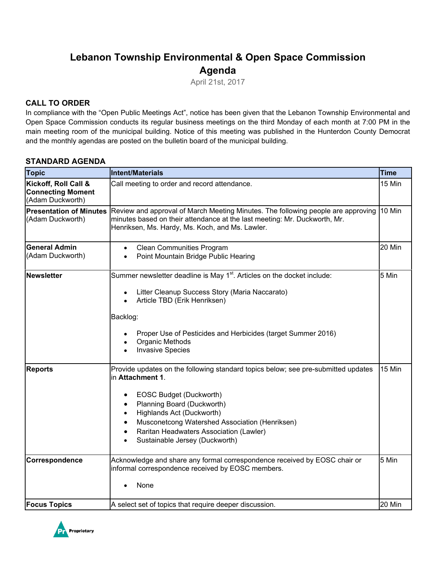# **Lebanon Township Environmental & Open Space Commission Agenda**

April 21st, 2017

### **CALL TO ORDER**

In compliance with the "Open Public Meetings Act", notice has been given that the Lebanon Township Environmental and Open Space Commission conducts its regular business meetings on the third Monday of each month at 7:00 PM in the main meeting room of the municipal building. Notice of this meeting was published in the Hunterdon County Democrat and the monthly agendas are posted on the bulletin board of the municipal building.

### **STANDARD AGENDA**

| <b>Topic</b>                                                         | Intent/Materials                                                                                                                                                                                                                                                                                                           | <b>Time</b> |
|----------------------------------------------------------------------|----------------------------------------------------------------------------------------------------------------------------------------------------------------------------------------------------------------------------------------------------------------------------------------------------------------------------|-------------|
| Kickoff, Roll Call &<br><b>Connecting Moment</b><br>(Adam Duckworth) | Call meeting to order and record attendance.                                                                                                                                                                                                                                                                               | 15 Min      |
| <b>Presentation of Minutes</b><br>(Adam Duckworth)                   | Review and approval of March Meeting Minutes. The following people are approving<br>minutes based on their attendance at the last meeting: Mr. Duckworth, Mr.<br>Henriksen, Ms. Hardy, Ms. Koch, and Ms. Lawler.                                                                                                           | 10 Min      |
| <b>General Admin</b><br>(Adam Duckworth)                             | <b>Clean Communities Program</b><br>$\bullet$<br>Point Mountain Bridge Public Hearing<br>$\bullet$                                                                                                                                                                                                                         | 20 Min      |
| <b>Newsletter</b>                                                    | Summer newsletter deadline is May 1 <sup>st</sup> . Articles on the docket include:<br>Litter Cleanup Success Story (Maria Naccarato)<br>$\bullet$<br>Article TBD (Erik Henriksen)<br>Backlog:<br>Proper Use of Pesticides and Herbicides (target Summer 2016)<br>Organic Methods<br><b>Invasive Species</b>               | 5 Min       |
| <b>Reports</b>                                                       | Provide updates on the following standard topics below; see pre-submitted updates<br>in Attachment 1.<br>EOSC Budget (Duckworth)<br>Planning Board (Duckworth)<br>Highlands Act (Duckworth)<br>Musconetcong Watershed Association (Henriksen)<br>Raritan Headwaters Association (Lawler)<br>Sustainable Jersey (Duckworth) | 15 Min      |
| Correspondence                                                       | Acknowledge and share any formal correspondence received by EOSC chair or<br>informal correspondence received by EOSC members.<br>None                                                                                                                                                                                     | 5 Min       |
| <b>Focus Topics</b>                                                  | A select set of topics that require deeper discussion.                                                                                                                                                                                                                                                                     | 20 Min      |

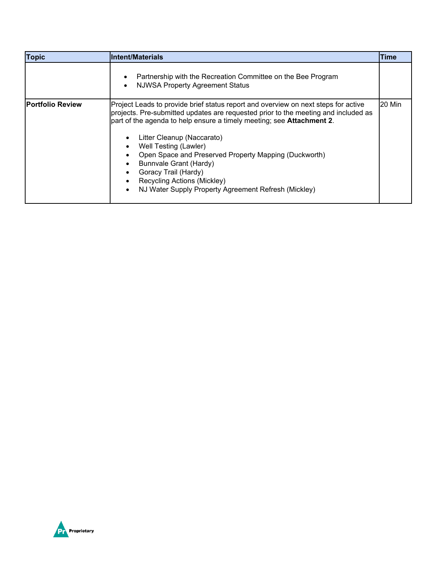| <b>Topic</b>            | Intent/Materials                                                                                                                                                                                                                                                                                                                                                                                                                                                                                                   | Time   |
|-------------------------|--------------------------------------------------------------------------------------------------------------------------------------------------------------------------------------------------------------------------------------------------------------------------------------------------------------------------------------------------------------------------------------------------------------------------------------------------------------------------------------------------------------------|--------|
|                         | Partnership with the Recreation Committee on the Bee Program<br>$\bullet$<br><b>NJWSA Property Agreement Status</b><br>$\bullet$                                                                                                                                                                                                                                                                                                                                                                                   |        |
| <b>Portfolio Review</b> | Project Leads to provide brief status report and overview on next steps for active<br>projects. Pre-submitted updates are requested prior to the meeting and included as<br>part of the agenda to help ensure a timely meeting; see <b>Attachment 2</b> .<br>Litter Cleanup (Naccarato)<br>Well Testing (Lawler)<br>Open Space and Preserved Property Mapping (Duckworth)<br>Bunnvale Grant (Hardy)<br>Goracy Trail (Hardy)<br>Recycling Actions (Mickley)<br>NJ Water Supply Property Agreement Refresh (Mickley) | 20 Min |

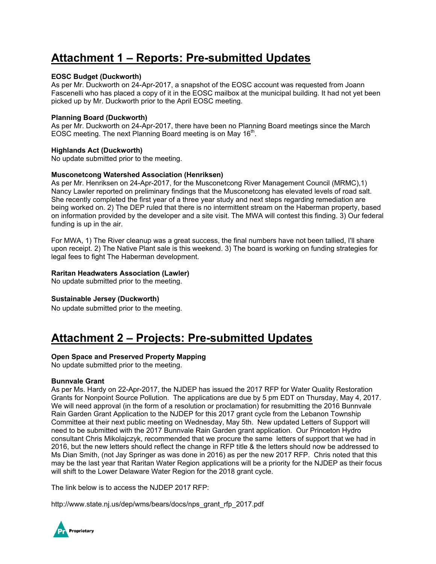# **Attachment 1 – Reports: Pre-submitted Updates**

### **EOSC Budget (Duckworth)**

As per Mr. Duckworth on 24-Apr-2017, a snapshot of the EOSC account was requested from Joann Fascenelli who has placed a copy of it in the EOSC mailbox at the municipal building. It had not yet been picked up by Mr. Duckworth prior to the April EOSC meeting.

### **Planning Board (Duckworth)**

As per Mr. Duckworth on 24-Apr-2017, there have been no Planning Board meetings since the March EOSC meeting. The next Planning Board meeting is on May 16<sup>th</sup>.

### **Highlands Act (Duckworth)**

No update submitted prior to the meeting.

### **Musconetcong Watershed Association (Henriksen)**

As per Mr. Henriksen on 24-Apr-2017, for the Musconetcong River Management Council (MRMC),1) Nancy Lawler reported on preliminary findings that the Musconetcong has elevated levels of road salt. She recently completed the first year of a three year study and next steps regarding remediation are being worked on. 2) The DEP ruled that there is no intermittent stream on the Haberman property, based on information provided by the developer and a site visit. The MWA will contest this finding. 3) Our federal funding is up in the air.

For MWA, 1) The River cleanup was a great success, the final numbers have not been tallied, I'll share upon receipt. 2) The Native Plant sale is this weekend. 3) The board is working on funding strategies for legal fees to fight The Haberman development.

### **Raritan Headwaters Association (Lawler)**

No update submitted prior to the meeting.

#### **Sustainable Jersey (Duckworth)**

No update submitted prior to the meeting.

## **Attachment 2 – Projects: Pre-submitted Updates**

#### **Open Space and Preserved Property Mapping**

No update submitted prior to the meeting.

#### **Bunnvale Grant**

As per Ms. Hardy on 22-Apr-2017, the NJDEP has issued the 2017 RFP for Water Quality Restoration Grants for Nonpoint Source Pollution. The applications are due by 5 pm EDT on Thursday, May 4, 2017. We will need approval (in the form of a resolution or proclamation) for resubmitting the 2016 Bunnvale Rain Garden Grant Application to the NJDEP for this 2017 grant cycle from the Lebanon Township Committee at their next public meeting on Wednesday, May 5th. New updated Letters of Support will need to be submitted with the 2017 Bunnvale Rain Garden grant application. Our Princeton Hydro consultant Chris Mikolajczyk, recommended that we procure the same letters of support that we had in 2016, but the new letters should reflect the change in RFP title & the letters should now be addressed to Ms Dian Smith, (not Jay Springer as was done in 2016) as per the new 2017 RFP. Chris noted that this may be the last year that Raritan Water Region applications will be a priority for the NJDEP as their focus will shift to the Lower Delaware Water Region for the 2018 grant cycle.

The link below is to access the NJDEP 2017 RFP:

http://www.state.nj.us/dep/wms/bears/docs/nps\_grant\_rfp\_2017.pdf

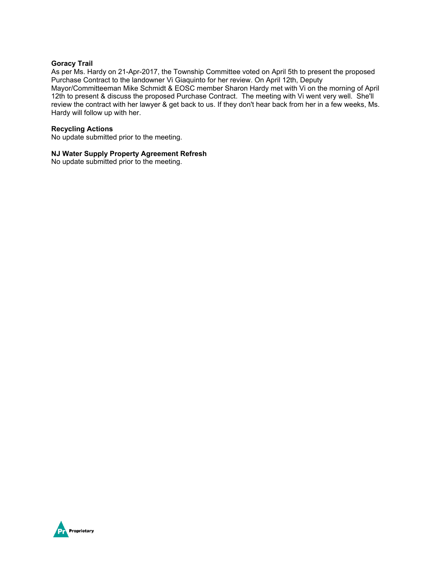#### **Goracy Trail**

As per Ms. Hardy on 21-Apr-2017, the Township Committee voted on April 5th to present the proposed Purchase Contract to the landowner Vi Giaquinto for her review. On April 12th, Deputy Mayor/Committeeman Mike Schmidt & EOSC member Sharon Hardy met with Vi on the morning of April 12th to present & discuss the proposed Purchase Contract. The meeting with Vi went very well. She'll review the contract with her lawyer & get back to us. If they don't hear back from her in a few weeks, Ms. Hardy will follow up with her.

### **Recycling Actions**

No update submitted prior to the meeting.

### **NJ Water Supply Property Agreement Refresh**

No update submitted prior to the meeting.

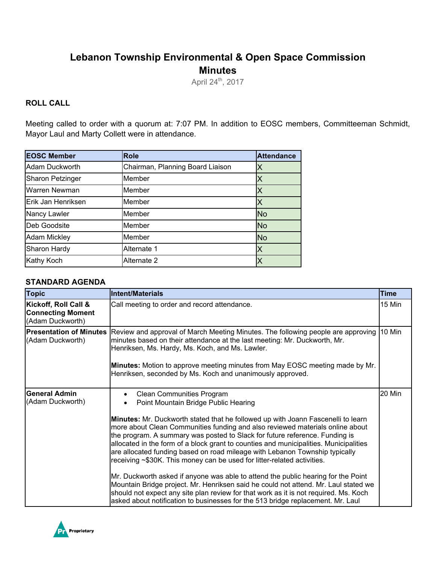# **Lebanon Township Environmental & Open Space Commission Minutes**

April 24<sup>th</sup>, 2017

### **ROLL CALL**

Meeting called to order with a quorum at: 7:07 PM. In addition to EOSC members, Committeeman Schmidt, Mayor Laul and Marty Collett were in attendance.

| <b>EOSC Member</b>      | <b>Role</b>                      | <b>Attendance</b> |
|-------------------------|----------------------------------|-------------------|
| Adam Duckworth          | Chairman, Planning Board Liaison | Χ                 |
| <b>Sharon Petzinger</b> | Member                           | Χ                 |
| Warren Newman           | Member                           | Χ                 |
| Erik Jan Henriksen      | Member                           | Χ                 |
| Nancy Lawler            | Member                           | <b>No</b>         |
| <b>IDeb Goodsite</b>    | Member                           | <b>No</b>         |
| <b>Adam Mickley</b>     | Member                           | <b>No</b>         |
| Sharon Hardy            | Alternate 1                      | X                 |
| <b>Kathy Koch</b>       | Alternate 2                      |                   |

### **STANDARD AGENDA**

| <b>Topic</b>                                                         | Intent/Materials                                                                                                                                                                                                                                                                                                                                                                                                                                                                                    | Time   |
|----------------------------------------------------------------------|-----------------------------------------------------------------------------------------------------------------------------------------------------------------------------------------------------------------------------------------------------------------------------------------------------------------------------------------------------------------------------------------------------------------------------------------------------------------------------------------------------|--------|
| Kickoff, Roll Call &<br><b>Connecting Moment</b><br>(Adam Duckworth) | Call meeting to order and record attendance.                                                                                                                                                                                                                                                                                                                                                                                                                                                        | 15 Min |
| <b>Presentation of Minutes</b><br>(Adam Duckworth)                   | Review and approval of March Meeting Minutes. The following people are approving<br>minutes based on their attendance at the last meeting: Mr. Duckworth, Mr.<br>Henriksen, Ms. Hardy, Ms. Koch, and Ms. Lawler.<br>Minutes: Motion to approve meeting minutes from May EOSC meeting made by Mr.<br>Henriksen, seconded by Ms. Koch and unanimously approved.                                                                                                                                       | 10 Min |
|                                                                      |                                                                                                                                                                                                                                                                                                                                                                                                                                                                                                     |        |
| <b>General Admin</b><br>(Adam Duckworth)                             | <b>Clean Communities Program</b><br>$\bullet$<br>Point Mountain Bridge Public Hearing                                                                                                                                                                                                                                                                                                                                                                                                               | 20 Min |
|                                                                      | Minutes: Mr. Duckworth stated that he followed up with Joann Fascenelli to learn<br>more about Clean Communities funding and also reviewed materials online about<br>the program. A summary was posted to Slack for future reference. Funding is<br>allocated in the form of a block grant to counties and municipalities. Municipalities<br>are allocated funding based on road mileage with Lebanon Township typically<br>receiving ~\$30K. This money can be used for litter-related activities. |        |
|                                                                      | Mr. Duckworth asked if anyone was able to attend the public hearing for the Point<br>Mountain Bridge project. Mr. Henriksen said he could not attend. Mr. Laul stated we<br>should not expect any site plan review for that work as it is not required. Ms. Koch<br>asked about notification to businesses for the 513 bridge replacement. Mr. Laul                                                                                                                                                 |        |

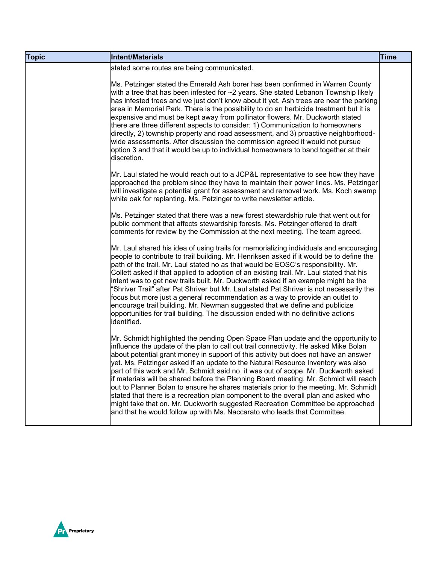| <b>Topic</b> | Intent/Materials                                                                                                                                                                                                                                                                                                                                                                                                                                                                                                                                                                                                                                                                                                                                                                                                                                                                 | <b>Time</b> |
|--------------|----------------------------------------------------------------------------------------------------------------------------------------------------------------------------------------------------------------------------------------------------------------------------------------------------------------------------------------------------------------------------------------------------------------------------------------------------------------------------------------------------------------------------------------------------------------------------------------------------------------------------------------------------------------------------------------------------------------------------------------------------------------------------------------------------------------------------------------------------------------------------------|-------------|
|              | stated some routes are being communicated.                                                                                                                                                                                                                                                                                                                                                                                                                                                                                                                                                                                                                                                                                                                                                                                                                                       |             |
|              | Ms. Petzinger stated the Emerald Ash borer has been confirmed in Warren County<br>with a tree that has been infested for $\sim$ 2 years. She stated Lebanon Township likely<br>has infested trees and we just don't know about it yet. Ash trees are near the parking<br>area in Memorial Park. There is the possibility to do an herbicide treatment but it is<br>expensive and must be kept away from pollinator flowers. Mr. Duckworth stated<br>there are three different aspects to consider: 1) Communication to homeowners<br>directly, 2) township property and road assessment, and 3) proactive neighborhood-<br>wide assessments. After discussion the commission agreed it would not pursue<br>option 3 and that it would be up to individual homeowners to band together at their<br>discretion.                                                                    |             |
|              | Mr. Laul stated he would reach out to a JCP&L representative to see how they have<br>approached the problem since they have to maintain their power lines. Ms. Petzinger<br>will investigate a potential grant for assessment and removal work. Ms. Koch swamp<br>white oak for replanting. Ms. Petzinger to write newsletter article.                                                                                                                                                                                                                                                                                                                                                                                                                                                                                                                                           |             |
|              | Ms. Petzinger stated that there was a new forest stewardship rule that went out for<br>public comment that affects stewardship forests. Ms. Petzinger offered to draft<br>comments for review by the Commission at the next meeting. The team agreed.                                                                                                                                                                                                                                                                                                                                                                                                                                                                                                                                                                                                                            |             |
|              | Mr. Laul shared his idea of using trails for memorializing individuals and encouraging<br>people to contribute to trail building. Mr. Henriksen asked if it would be to define the<br>path of the trail. Mr. Laul stated no as that would be EOSC's responsibility. Mr.<br>Collett asked if that applied to adoption of an existing trail. Mr. Laul stated that his<br>intent was to get new trails built. Mr. Duckworth asked if an example might be the<br>'Shriver Trail" after Pat Shriver but Mr. Laul stated Pat Shriver is not necessarily the<br>focus but more just a general recommendation as a way to provide an outlet to<br>encourage trail building. Mr. Newman suggested that we define and publicize<br>opportunities for trail building. The discussion ended with no definitive actions<br>identified.                                                        |             |
|              | Mr. Schmidt highlighted the pending Open Space Plan update and the opportunity to<br>influence the update of the plan to call out trail connectivity. He asked Mike Bolan<br>about potential grant money in support of this activity but does not have an answer<br>yet. Ms. Petzinger asked if an update to the Natural Resource Inventory was also<br>part of this work and Mr. Schmidt said no, it was out of scope. Mr. Duckworth asked<br>if materials will be shared before the Planning Board meeting. Mr. Schmidt will reach<br>out to Planner Bolan to ensure he shares materials prior to the meeting. Mr. Schmidt<br>stated that there is a recreation plan component to the overall plan and asked who<br>might take that on. Mr. Duckworth suggested Recreation Committee be approached<br>and that he would follow up with Ms. Naccarato who leads that Committee. |             |

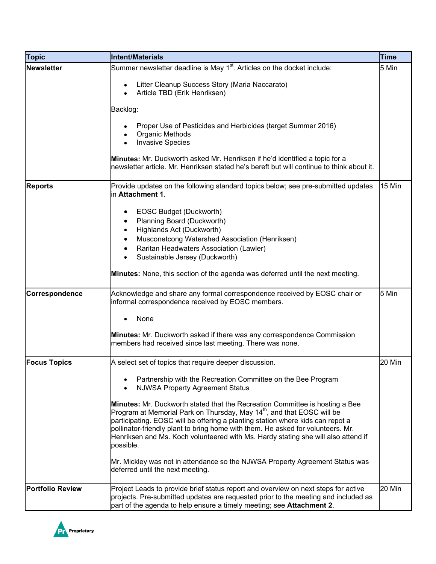| <b>Topic</b>            | Intent/Materials                                                                                                                                                                                                                                                                                                                                                                                                                                 | <b>Time</b> |
|-------------------------|--------------------------------------------------------------------------------------------------------------------------------------------------------------------------------------------------------------------------------------------------------------------------------------------------------------------------------------------------------------------------------------------------------------------------------------------------|-------------|
| <b>Newsletter</b>       | Summer newsletter deadline is May 1 <sup>st</sup> . Articles on the docket include:                                                                                                                                                                                                                                                                                                                                                              | 5 Min       |
|                         | Litter Cleanup Success Story (Maria Naccarato)<br>Article TBD (Erik Henriksen)                                                                                                                                                                                                                                                                                                                                                                   |             |
|                         | Backlog:                                                                                                                                                                                                                                                                                                                                                                                                                                         |             |
|                         | Proper Use of Pesticides and Herbicides (target Summer 2016)<br>Organic Methods<br><b>Invasive Species</b>                                                                                                                                                                                                                                                                                                                                       |             |
|                         | Minutes: Mr. Duckworth asked Mr. Henriksen if he'd identified a topic for a<br>newsletter article. Mr. Henriksen stated he's bereft but will continue to think about it.                                                                                                                                                                                                                                                                         |             |
| <b>Reports</b>          | Provide updates on the following standard topics below; see pre-submitted updates<br>in Attachment 1.                                                                                                                                                                                                                                                                                                                                            | 15 Min      |
|                         | EOSC Budget (Duckworth)<br>Planning Board (Duckworth)<br>Highlands Act (Duckworth)<br>$\bullet$<br>Musconetcong Watershed Association (Henriksen)<br>$\bullet$<br>Raritan Headwaters Association (Lawler)<br>$\bullet$<br>Sustainable Jersey (Duckworth)                                                                                                                                                                                         |             |
|                         | Minutes: None, this section of the agenda was deferred until the next meeting.                                                                                                                                                                                                                                                                                                                                                                   |             |
| Correspondence          | Acknowledge and share any formal correspondence received by EOSC chair or<br>informal correspondence received by EOSC members.                                                                                                                                                                                                                                                                                                                   | 5 Min       |
|                         | None                                                                                                                                                                                                                                                                                                                                                                                                                                             |             |
|                         | Minutes: Mr. Duckworth asked if there was any correspondence Commission<br>members had received since last meeting. There was none.                                                                                                                                                                                                                                                                                                              |             |
| <b>Focus Topics</b>     | A select set of topics that require deeper discussion.                                                                                                                                                                                                                                                                                                                                                                                           | 20 Min      |
|                         | Partnership with the Recreation Committee on the Bee Program<br><b>NJWSA Property Agreement Status</b>                                                                                                                                                                                                                                                                                                                                           |             |
|                         | <b>Minutes:</b> Mr. Duckworth stated that the Recreation Committee is hosting a Bee<br>Program at Memorial Park on Thursday, May 14 <sup>th</sup> , and that EOSC will be<br>participating. EOSC will be offering a planting station where kids can repot a<br>pollinator-friendly plant to bring home with them. He asked for volunteers. Mr.<br>Henriksen and Ms. Koch volunteered with Ms. Hardy stating she will also attend if<br>possible. |             |
|                         | Mr. Mickley was not in attendance so the NJWSA Property Agreement Status was<br>deferred until the next meeting.                                                                                                                                                                                                                                                                                                                                 |             |
| <b>Portfolio Review</b> | Project Leads to provide brief status report and overview on next steps for active<br>projects. Pre-submitted updates are requested prior to the meeting and included as<br>part of the agenda to help ensure a timely meeting; see Attachment 2.                                                                                                                                                                                                | 20 Min      |

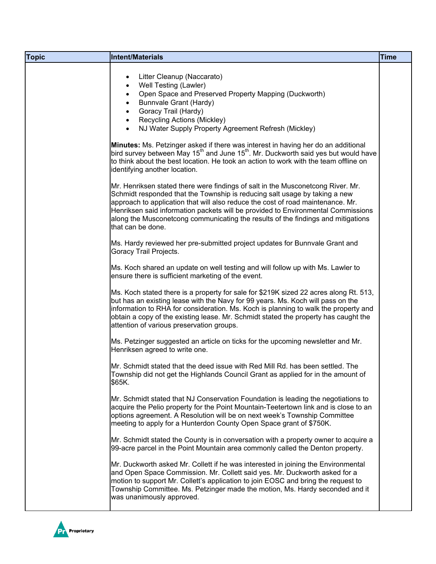| Litter Cleanup (Naccarato)<br>$\bullet$<br>Well Testing (Lawler)<br>$\bullet$<br>Open Space and Preserved Property Mapping (Duckworth)<br>$\bullet$<br>Bunnvale Grant (Hardy)<br>$\bullet$<br>Goracy Trail (Hardy)<br>$\bullet$<br><b>Recycling Actions (Mickley)</b><br>$\bullet$<br>NJ Water Supply Property Agreement Refresh (Mickley)<br>$\bullet$<br>Minutes: Ms. Petzinger asked if there was interest in having her do an additional<br>bird survey between May 15 <sup>th</sup> and June 15 <sup>th</sup> . Mr. Duckworth said yes but would have<br>to think about the best location. He took an action to work with the team offline on<br>identifying another location.<br>Mr. Henriksen stated there were findings of salt in the Musconetcong River. Mr.<br>Schmidt responded that the Township is reducing salt usage by taking a new<br>approach to application that will also reduce the cost of road maintenance. Mr.<br>Henriksen said information packets will be provided to Environmental Commissions<br>along the Musconetcong communicating the results of the findings and mitigations<br>that can be done.<br>Ms. Hardy reviewed her pre-submitted project updates for Bunnvale Grant and<br>Goracy Trail Projects.<br>Ms. Koch shared an update on well testing and will follow up with Ms. Lawler to<br>ensure there is sufficient marketing of the event.<br>Ms. Koch stated there is a property for sale for \$219K sized 22 acres along Rt. 513,<br>but has an existing lease with the Navy for 99 years. Ms. Koch will pass on the<br>information to RHA for consideration. Ms. Koch is planning to walk the property and<br>obtain a copy of the existing lease. Mr. Schmidt stated the property has caught the<br>attention of various preservation groups.<br>Ms. Petzinger suggested an article on ticks for the upcoming newsletter and Mr.<br>Henriksen agreed to write one.<br>Mr. Schmidt stated that the deed issue with Red Mill Rd. has been settled. The<br>Township did not get the Highlands Council Grant as applied for in the amount of<br>\$65K.<br>Mr. Schmidt stated that NJ Conservation Foundation is leading the negotiations to<br>acquire the Pelio property for the Point Mountain-Teetertown link and is close to an<br>options agreement. A Resolution will be on next week's Township Committee<br>meeting to apply for a Hunterdon County Open Space grant of \$750K.<br>Mr. Schmidt stated the County is in conversation with a property owner to acquire a<br>99-acre parcel in the Point Mountain area commonly called the Denton property. | <b>Topic</b> | Intent/Materials | <b>Time</b> |
|--------------------------------------------------------------------------------------------------------------------------------------------------------------------------------------------------------------------------------------------------------------------------------------------------------------------------------------------------------------------------------------------------------------------------------------------------------------------------------------------------------------------------------------------------------------------------------------------------------------------------------------------------------------------------------------------------------------------------------------------------------------------------------------------------------------------------------------------------------------------------------------------------------------------------------------------------------------------------------------------------------------------------------------------------------------------------------------------------------------------------------------------------------------------------------------------------------------------------------------------------------------------------------------------------------------------------------------------------------------------------------------------------------------------------------------------------------------------------------------------------------------------------------------------------------------------------------------------------------------------------------------------------------------------------------------------------------------------------------------------------------------------------------------------------------------------------------------------------------------------------------------------------------------------------------------------------------------------------------------------------------------------------------------------------------------------------------------------------------------------------------------------------------------------------------------------------------------------------------------------------------------------------------------------------------------------------------------------------------------------------------------------------------------------------------------------------------------------------------------------------------------------------------------------------------------------------------------------------------------|--------------|------------------|-------------|
|                                                                                                                                                                                                                                                                                                                                                                                                                                                                                                                                                                                                                                                                                                                                                                                                                                                                                                                                                                                                                                                                                                                                                                                                                                                                                                                                                                                                                                                                                                                                                                                                                                                                                                                                                                                                                                                                                                                                                                                                                                                                                                                                                                                                                                                                                                                                                                                                                                                                                                                                                                                                              |              |                  |             |
|                                                                                                                                                                                                                                                                                                                                                                                                                                                                                                                                                                                                                                                                                                                                                                                                                                                                                                                                                                                                                                                                                                                                                                                                                                                                                                                                                                                                                                                                                                                                                                                                                                                                                                                                                                                                                                                                                                                                                                                                                                                                                                                                                                                                                                                                                                                                                                                                                                                                                                                                                                                                              |              |                  |             |
|                                                                                                                                                                                                                                                                                                                                                                                                                                                                                                                                                                                                                                                                                                                                                                                                                                                                                                                                                                                                                                                                                                                                                                                                                                                                                                                                                                                                                                                                                                                                                                                                                                                                                                                                                                                                                                                                                                                                                                                                                                                                                                                                                                                                                                                                                                                                                                                                                                                                                                                                                                                                              |              |                  |             |
|                                                                                                                                                                                                                                                                                                                                                                                                                                                                                                                                                                                                                                                                                                                                                                                                                                                                                                                                                                                                                                                                                                                                                                                                                                                                                                                                                                                                                                                                                                                                                                                                                                                                                                                                                                                                                                                                                                                                                                                                                                                                                                                                                                                                                                                                                                                                                                                                                                                                                                                                                                                                              |              |                  |             |
|                                                                                                                                                                                                                                                                                                                                                                                                                                                                                                                                                                                                                                                                                                                                                                                                                                                                                                                                                                                                                                                                                                                                                                                                                                                                                                                                                                                                                                                                                                                                                                                                                                                                                                                                                                                                                                                                                                                                                                                                                                                                                                                                                                                                                                                                                                                                                                                                                                                                                                                                                                                                              |              |                  |             |
|                                                                                                                                                                                                                                                                                                                                                                                                                                                                                                                                                                                                                                                                                                                                                                                                                                                                                                                                                                                                                                                                                                                                                                                                                                                                                                                                                                                                                                                                                                                                                                                                                                                                                                                                                                                                                                                                                                                                                                                                                                                                                                                                                                                                                                                                                                                                                                                                                                                                                                                                                                                                              |              |                  |             |
|                                                                                                                                                                                                                                                                                                                                                                                                                                                                                                                                                                                                                                                                                                                                                                                                                                                                                                                                                                                                                                                                                                                                                                                                                                                                                                                                                                                                                                                                                                                                                                                                                                                                                                                                                                                                                                                                                                                                                                                                                                                                                                                                                                                                                                                                                                                                                                                                                                                                                                                                                                                                              |              |                  |             |
|                                                                                                                                                                                                                                                                                                                                                                                                                                                                                                                                                                                                                                                                                                                                                                                                                                                                                                                                                                                                                                                                                                                                                                                                                                                                                                                                                                                                                                                                                                                                                                                                                                                                                                                                                                                                                                                                                                                                                                                                                                                                                                                                                                                                                                                                                                                                                                                                                                                                                                                                                                                                              |              |                  |             |
|                                                                                                                                                                                                                                                                                                                                                                                                                                                                                                                                                                                                                                                                                                                                                                                                                                                                                                                                                                                                                                                                                                                                                                                                                                                                                                                                                                                                                                                                                                                                                                                                                                                                                                                                                                                                                                                                                                                                                                                                                                                                                                                                                                                                                                                                                                                                                                                                                                                                                                                                                                                                              |              |                  |             |
|                                                                                                                                                                                                                                                                                                                                                                                                                                                                                                                                                                                                                                                                                                                                                                                                                                                                                                                                                                                                                                                                                                                                                                                                                                                                                                                                                                                                                                                                                                                                                                                                                                                                                                                                                                                                                                                                                                                                                                                                                                                                                                                                                                                                                                                                                                                                                                                                                                                                                                                                                                                                              |              |                  |             |
| Mr. Duckworth asked Mr. Collett if he was interested in joining the Environmental<br>and Open Space Commission. Mr. Collett said yes. Mr. Duckworth asked for a<br>motion to support Mr. Collett's application to join EOSC and bring the request to<br>Township Committee. Ms. Petzinger made the motion, Ms. Hardy seconded and it<br>was unanimously approved.                                                                                                                                                                                                                                                                                                                                                                                                                                                                                                                                                                                                                                                                                                                                                                                                                                                                                                                                                                                                                                                                                                                                                                                                                                                                                                                                                                                                                                                                                                                                                                                                                                                                                                                                                                                                                                                                                                                                                                                                                                                                                                                                                                                                                                            |              |                  |             |